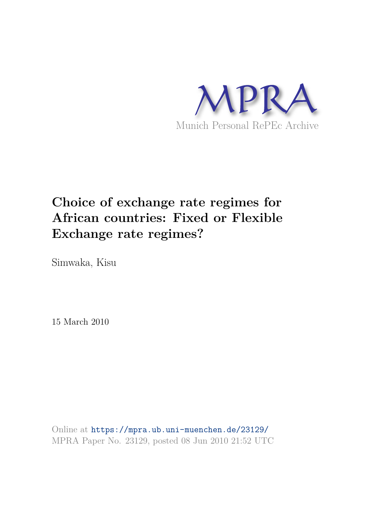

# **Choice of exchange rate regimes for African countries: Fixed or Flexible Exchange rate regimes?**

Simwaka, Kisu

15 March 2010

Online at https://mpra.ub.uni-muenchen.de/23129/ MPRA Paper No. 23129, posted 08 Jun 2010 21:52 UTC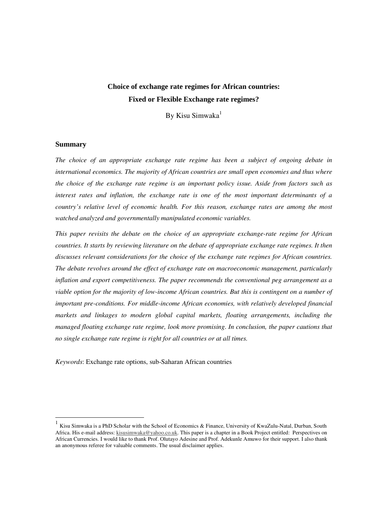# **Choice of exchange rate regimes for African countries: Fixed or Flexible Exchange rate regimes?**

By Kisu Simwaka $<sup>1</sup>$ </sup>

## **Summary**

-

*The choice of an appropriate exchange rate regime has been a subject of ongoing debate in international economics. The majority of African countries are small open economies and thus where the choice of the exchange rate regime is an important policy issue. Aside from factors such as interest rates and inflation, the exchange rate is one of the most important determinants of a country's relative level of economic health. For this reason, exchange rates are among the most watched analyzed and governmentally manipulated economic variables.* 

*This paper revisits the debate on the choice of an appropriate exchange-rate regime for African countries. It starts by reviewing literature on the debate of appropriate exchange rate regimes. It then discusses relevant considerations for the choice of the exchange rate regimes for African countries. The debate revolves around the effect of exchange rate on macroeconomic management, particularly inflation and export competitiveness. The paper recommends the conventional peg arrangement as a viable option for the majority of low-income African countries. But this is contingent on a number of important pre-conditions. For middle-income African economies, with relatively developed financial markets and linkages to modern global capital markets, floating arrangements, including the managed floating exchange rate regime, look more promising*. *In conclusion, the paper cautions that no single exchange rate regime is right for all countries or at all times.*

*Keywords*: Exchange rate options, sub-Saharan African countries

<sup>1</sup> Kisu Simwaka is a PhD Scholar with the School of Economics & Finance, University of KwaZulu-Natal, Durban, South Africa. His e-mail address: kisusimwaka@yahoo.co.uk. This paper is a chapter in a Book Project entitled: Perspectives on African Currencies. I would like to thank Prof. Olutayo Adesine and Prof. Adekunle Amuwo for their support. I also thank an anonymous referee for valuable comments. The usual disclaimer applies.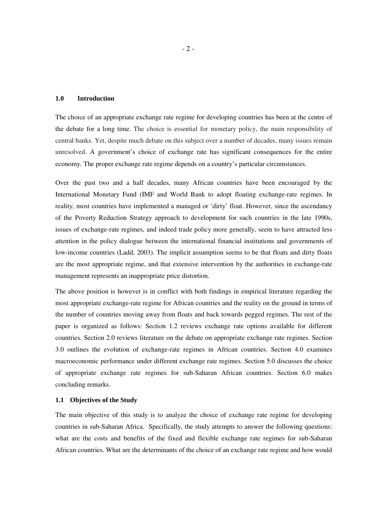#### **1.0 Introduction**

The choice of an appropriate exchange rate regime for developing countries has been at the centre of the debate for a long time. The choice is essential for monetary policy, the main responsibility of central banks. Yet, despite much debate on this subject over a number of decades, many issues remain unresolved. A government's choice of exchange rate has significant consequences for the entire economy. The proper exchange rate regime depends on a country's particular circumstances.

Over the past two and a half decades, many African countries have been encouraged by the International Monetary Fund (IMF and World Bank to adopt floating exchange-rate regimes. In reality, most countries have implemented a managed or 'dirty' float. However, since the ascendancy of the Poverty Reduction Strategy approach to development for such countries in the late 1990s, issues of exchange-rate regimes, and indeed trade policy more generally, seem to have attracted less attention in the policy dialogue between the international financial institutions and governments of low-income countries (Ladd, 2003). The implicit assumption seems to be that floats and dirty floats are the most appropriate regime, and that extensive intervention by the authorities in exchange-rate management represents an inappropriate price distortion.

The above position is however is in conflict with both findings in empirical literature regarding the most appropriate exchange-rate regime for African countries and the reality on the ground in terms of the number of countries moving away from floats and back towards pegged regimes. The rest of the paper is organized as follows: Section 1.2 reviews exchange rate options available for different countries. Section 2.0 reviews literature on the debate on appropriate exchange rate regimes. Section 3.0 outlines the evolution of exchange-rate regimes in African countries. Section 4.0 examines macroeconomic performance under different exchange rate regimes. Section 5.0 discusses the choice of appropriate exchange rate regimes for sub-Saharan African countries. Section 6.0 makes concluding remarks.

#### **1.1 Objectives of the Study**

The main objective of this study is to analyze the choice of exchange rate regime for developing countries in sub-Saharan Africa. Specifically, the study attempts to answer the following questions: what are the costs and benefits of the fixed and flexible exchange rate regimes for sub-Saharan African countries. What are the determinants of the choice of an exchange rate regime and how would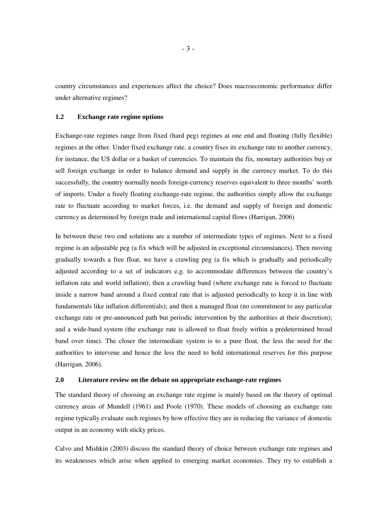country circumstances and experiences affect the choice? Does macroeconomic performance differ under alternative regimes?

#### **1.2 Exchange rate regime options**

Exchange-rate regimes range from fixed (hard peg) regimes at one end and floating (fully flexible) regimes at the other. Under fixed exchange rate, a country fixes its exchange rate to another currency, for instance, the US dollar or a basket of currencies. To maintain the fix, monetary authorities buy or sell foreign exchange in order to balance demand and supply in the currency market. To do this successfully, the country normally needs foreign-currency reserves equivalent to three months' worth of imports. Under a freely floating exchange-rate regime, the authorities simply allow the exchange rate to fluctuate according to market forces, i.e. the demand and supply of foreign and domestic currency as determined by foreign trade and international capital flows (Harrigan, 2006)

In between these two end solutions are a number of intermediate types of regimes. Next to a fixed regime is an adjustable peg (a fix which will be adjusted in exceptional circumstances). Then moving gradually towards a free float, we have a crawling peg (a fix which is gradually and periodically adjusted according to a set of indicators e.g. to accommodate differences between the country's inflation rate and world inflation); then a crawling band (where exchange rate is forced to fluctuate inside a narrow band around a fixed central rate that is adjusted periodically to keep it in line with fundamentals like inflation differentials); and then a managed float (no commitment to any particular exchange rate or pre-announced path but periodic intervention by the authorities at their discretion); and a wide-band system (the exchange rate is allowed to float freely within a predetermined broad band over time). The closer the intermediate system is to a pure float, the less the need for the authorities to intervene and hence the less the need to hold international reserves for this purpose (Harrigan, 2006).

#### **2.0 Literature review on the debate on appropriate exchange-rate regimes**

The standard theory of choosing an exchange rate regime is mainly based on the theory of optimal currency areas of Mundell (1961) and Poole (1970). These models of choosing an exchange rate regime typically evaluate such regimes by how effective they are in reducing the variance of domestic output in an economy with sticky prices.

Calvo and Mishkin (2003) discuss the standard theory of choice between exchange rate regimes and its weaknesses which arise when applied to emerging market economies. They try to establish a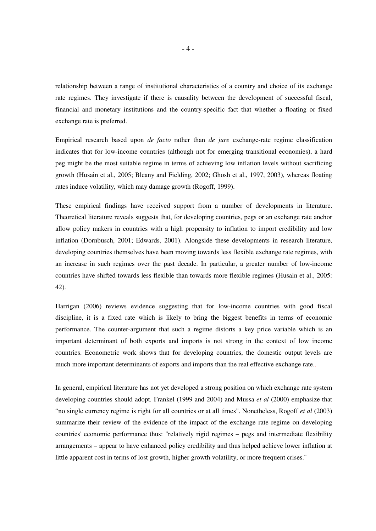relationship between a range of institutional characteristics of a country and choice of its exchange rate regimes. They investigate if there is causality between the development of successful fiscal, financial and monetary institutions and the country-specific fact that whether a floating or fixed exchange rate is preferred.

Empirical research based upon *de facto* rather than *de jure* exchange-rate regime classification indicates that for low-income countries (although not for emerging transitional economies), a hard peg might be the most suitable regime in terms of achieving low inflation levels without sacrificing growth (Husain et al., 2005; Bleany and Fielding, 2002; Ghosh et al., 1997, 2003), whereas floating rates induce volatility, which may damage growth (Rogoff, 1999).

These empirical findings have received support from a number of developments in literature. Theoretical literature reveals suggests that, for developing countries, pegs or an exchange rate anchor allow policy makers in countries with a high propensity to inflation to import credibility and low inflation (Dornbusch, 2001; Edwards, 2001). Alongside these developments in research literature, developing countries themselves have been moving towards less flexible exchange rate regimes, with an increase in such regimes over the past decade. In particular, a greater number of low-income countries have shifted towards less flexible than towards more flexible regimes (Husain et al., 2005: 42).

Harrigan (2006) reviews evidence suggesting that for low-income countries with good fiscal discipline, it is a fixed rate which is likely to bring the biggest benefits in terms of economic performance. The counter-argument that such a regime distorts a key price variable which is an important determinant of both exports and imports is not strong in the context of low income countries. Econometric work shows that for developing countries, the domestic output levels are much more important determinants of exports and imports than the real effective exchange rate..

In general, empirical literature has not yet developed a strong position on which exchange rate system developing countries should adopt. Frankel (1999 and 2004) and Mussa *et al* (2000) emphasize that "no single currency regime is right for all countries or at all times". Nonetheless, Rogoff *et al* (2003) summarize their review of the evidence of the impact of the exchange rate regime on developing countries' economic performance thus: "relatively rigid regimes – pegs and intermediate flexibility arrangements – appear to have enhanced policy credibility and thus helped achieve lower inflation at little apparent cost in terms of lost growth, higher growth volatility, or more frequent crises."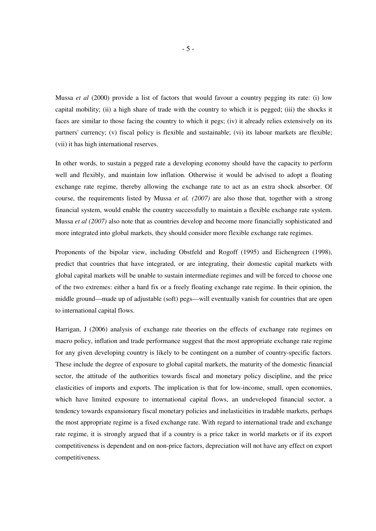Mussa *et al* (2000) provide a list of factors that would favour a country pegging its rate: (i) low capital mobility; (ii) a high share of trade with the country to which it is pegged; (iii) the shocks it faces are similar to those facing the country to which it pegs; (iv) it already relies extensively on its partners' currency; (v) fiscal policy is flexible and sustainable; (vi) its labour markets are flexible; (vii) it has high international reserves.

In other words, to sustain a pegged rate a developing economy should have the capacity to perform well and flexibly, and maintain low inflation. Otherwise it would be advised to adopt a floating exchange rate regime, thereby allowing the exchange rate to act as an extra shock absorber. Of course, the requirements listed by Mussa *et al. (2007)* are also those that, together with a strong financial system, would enable the country successfully to maintain a flexible exchange rate system. Mussa *et al (2007)* also note that as countries develop and become more financially sophisticated and more integrated into global markets, they should consider more flexible exchange rate regimes.

Proponents of the bipolar view, including Obstfeld and Rogoff (1995) and Eichengreen (1998), predict that countries that have integrated, or are integrating, their domestic capital markets with global capital markets will be unable to sustain intermediate regimes and will be forced to choose one of the two extremes: either a hard fix or a freely floating exchange rate regime. In their opinion, the middle ground—made up of adjustable (soft) pegs—will eventually vanish for countries that are open to international capital flows.

Harrigan, J (2006) analysis of exchange rate theories on the effects of exchange rate regimes on macro policy, inflation and trade performance suggest that the most appropriate exchange rate regime for any given developing country is likely to be contingent on a number of country-specific factors. These include the degree of exposure to global capital markets, the maturity of the domestic financial sector, the attitude of the authorities towards fiscal and monetary policy discipline, and the price elasticities of imports and exports. The implication is that for low-income, small, open economies, which have limited exposure to international capital flows, an undeveloped financial sector, a tendency towards expansionary fiscal monetary policies and inelasticities in tradable markets, perhaps the most appropriate regime is a fixed exchange rate. With regard to international trade and exchange rate regime, it is strongly argued that if a country is a price taker in world markets or if its export competitiveness is dependent and on non-price factors, depreciation will not have any effect on export competitiveness.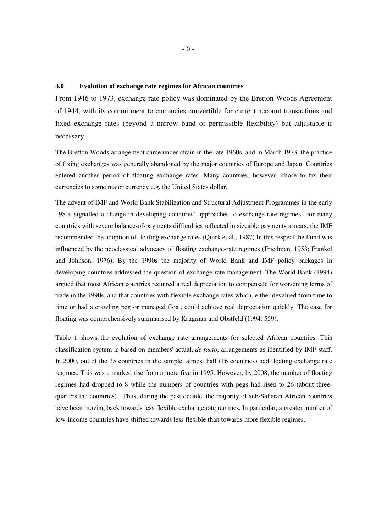# **3.0 Evolution of exchange rate regimes for African countries**

From 1946 to 1973, exchange rate policy was dominated by the Bretton Woods Agreement of 1944, with its commitment to currencies convertible for current account transactions and fixed exchange rates (beyond a narrow band of permissible flexibility) but adjustable if necessary.

The Bretton Woods arrangement came under strain in the late 1960s, and in March 1973, the practice of fixing exchanges was generally abandoned by the major countries of Europe and Japan. Countries entered another period of floating exchange rates. Many countries, however, chose to fix their currencies to some major currency e.g. the United States dollar.

The advent of IMF and World Bank Stabilization and Structural Adjustment Programmes in the early 1980s signalled a change in developing countries' approaches to exchange-rate regimes. For many countries with severe balance-of-payments difficulties reflected in sizeable payments arrears, the IMF recommended the adoption of floating exchange rates (Quirk et al., 1987).In this respect the Fund was influenced by the neoclassical advocacy of floating exchange-rate regimes (Friedman, 1953; Frankel and Johnson, 1976). By the 1990s the majority of World Bank and IMF policy packages in developing countries addressed the question of exchange-rate management. The World Bank (1994) argued that most African countries required a real depreciation to compensate for worsening terms of trade in the 1990s, and that countries with flexible exchange rates which, either devalued from time to time or had a crawling peg or managed float, could achieve real depreciation quickly. The case for floating was comprehensively summarised by Krugman and Obstfeld (1994: 559).

Table 1 shows the evolution of exchange rate arrangements for selected African countries. This classification system is based on members' actual, *de facto*, arrangements as identified by IMF staff. In 2000, out of the 35 countries in the sample, almost half (16 countries) had floating exchange rate regimes. This was a marked rise from a mere five in 1995. However, by 2008, the number of floating regimes had dropped to 8 while the numbers of countries with pegs had risen to 26 (about threequarters the countries). Thus, during the past decade, the majority of sub-Saharan African countries have been moving back towards less flexible exchange rate regimes. In particular, a greater number of low-income countries have shifted towards less flexible than towards more flexible regimes.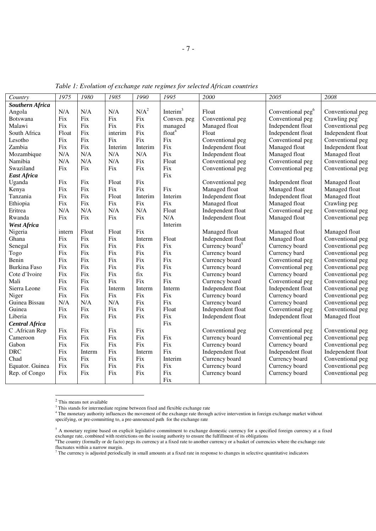| Country                | 1975   | 1980   | 1985    | 1990    | 1995               | 2000                        | 2005                          | 2008                    |
|------------------------|--------|--------|---------|---------|--------------------|-----------------------------|-------------------------------|-------------------------|
| <b>Southern Africa</b> |        |        |         |         |                    |                             |                               |                         |
| Angola                 | N/A    | N/A    | N/A     | $N/A^2$ | Interim $3$        | Float                       | Conventional peg <sup>6</sup> | Conventional peg        |
| <b>Botswana</b>        | Fix    | Fix    | Fix     | Fix     | Conven. peg        | Conventional peg            | Conventional peg              | Crawling $\text{peg}^7$ |
| Malawi                 | Fix    | Fix    | Fix     | Fix     | managed            | Managed float               | Independent float             | Conventional peg        |
| South Africa           | Float  | Fix    | interim | Fix     | float <sup>4</sup> | Float                       | Independent float             | Independent float       |
| Lesotho                | Fix    | Fix    | Fix     | Fix     | Fix                | Conventional peg            | Conventional peg              | Conventional peg        |
| Zambia                 | Fix    | Fix    | Interim | Interim | Fix                | Independent float           | Managed float                 | Independent float       |
| Mozambique             | N/A    | N/A    | N/A     | N/A     | Fix                | Independent float           | Managed float                 | Managed float           |
| Namibia                | N/A    | N/A    | N/A     | Fix     | Float              | Conventional peg            | Conventional peg              | Conventional peg        |
| Swaziland              | Fix    | Fix    | Fix     | Fix     | Fix                | Conventional peg            | Conventional peg              | Conventional peg        |
| <b>East Africa</b>     |        |        |         |         | Fix                |                             |                               |                         |
| Uganda                 | Fix    | Fix    | Float   | Fix     |                    | Conventional peg            | Independent float             | Managed float           |
| Kenya                  | Fix    | Fix    | Fix     | Fix     | Fix                | Managed float               | Managed float                 | Managed float           |
| Tanzania               | Fix    | Fix    | Float   | Interim | Interim            | Independent float           | Independent float             | Managed float           |
| Ethiopia               | Fix    | Fix    | Fix     | Fix     | Fix                | Managed float               | Managed float                 | Crawling peg            |
| Eritrea                | N/A    | N/A    | N/A     | N/A     | Float              | Independent float           | Conventional peg              | Conventional peg        |
| Rwanda                 | Fix    | Fix    | Fix     | Fix     | N/A                | Independent float           | Managed float                 | Conventional peg        |
| <b>West Africa</b>     |        |        |         |         | Interim            |                             |                               |                         |
| Nigeria                | intern | Float  | Float   | Fix     |                    | Managed float               | Managed float                 | Managed float           |
| Ghana                  | Fix    | Fix    | Fix     | Interm  | Float              | Independent float           | Managed float                 | Conventional peg        |
| Senegal                | Fix    | Fix    | Fix     | Fix     | Fix                | Currency board <sup>5</sup> | Currency board                | Conventional peg        |
| Togo                   | Fix    | Fix    | Fix     | Fix     | Fix                | Currency board              | Currency bard                 | Conventional peg        |
| Benin                  | Fix    | Fix    | Fix     | Fix     | Fix                | Currency board              | Conventional peg              | Conventional peg        |
| Burkina Faso           | Fix    | Fix    | Fix     | Fix     | Fix                | Currency board              | Conventional peg              | Conventional peg        |
| Cote d'Ivoire          | Fix    | Fix    | Fix     | fix     | Fix                | Currency board              | Currency board                | Conventional peg        |
| Mali                   | Fix    | Fix    | Fix     | Fix     | Fix                | Currency board              | Conventional peg              | Conventional peg        |
| Sierra Leone           | Fix    | Fix    | Interm  | Interm  | Interm             | Independent float           | Independent float             | Conventional peg        |
| Niger                  | Fix    | Fix    | Fix     | Fix     | Fix                | Currency board              | Currency board                | Conventional peg        |
| Guinea Bissau          | N/A    | N/A    | N/A     | Fix     | Fix                | Currency board              | Currency board                | Conventional peg        |
| Guinea                 | Fix    | Fix    | Fix     | Fix     | Float              | Independent float           | Conventional peg              | Conventional peg        |
| Liberia                | Fix    | Fix    | Fix     | Fix     | Fix                | Independent float           | Independent float             | Managed float           |
| <b>Central Africa</b>  |        |        |         |         | Fix                |                             |                               |                         |
| C .African Rep         | Fix    | Fix    | Fix     | Fix     |                    | Conventional peg            | Conventional peg              | Conventional peg        |
| Cameroon               | Fix    | Fix    | Fix     | Fix     | Fix                | Currency board              | Conventional peg              | Conventional peg        |
| Gabon                  | Fix    | Fix    | Fix     | Fix     | Fix                | Currency board              | Currency board                | Conventional peg        |
| <b>DRC</b>             | Fix    | Interm | Fix     | Interm  | Fix                | Independent float           | Independent float             | Independent float       |
| Chad                   | Fix    | Fix    | Fix     | Fix     | Interim            | Currency board              | Currency board                | Conventional peg        |
| Equator. Guinea        | Fix    | Fix    | Fix     | Fix     | Fix                | Currency board              | Currency board                | Conventional peg        |
| Rep. of Congo          | Fix    | Fix    | Fix     | Fix     | Fix                | Currency board              | Currency board                | Conventional peg        |
|                        |        |        |         |         | Fix                |                             |                               |                         |

*Table 1: Evolution of exchange rate regimes for selected African countries* 

2 This means not available

 $3$  This stands for intermediate regime between fixed and flexible exchange rate<br> $4$  The monetary authority influences the movement of the exchange rate through active intervention in foreign exchange market without specifying, or pre-committing to, a pre-announced path for the exchange rate

<sup>&</sup>lt;sup>5</sup> A monetary regime based on explicit legislative commitment to exchange domestic currency for a specified foreign currency at a fixed exchange rate, combined with restrictions on the issuing authority to ensure the fulfillment of its obligations<br><sup>6</sup>The country (formally or de facto) pegs its currency at a fixed rate to another currency or a basket of cur

fluctuates within a narrow margin.<br><sup>7</sup> The currency is adjusted periodically in small amounts at a fixed rate in response to changes in selective quantitative indicators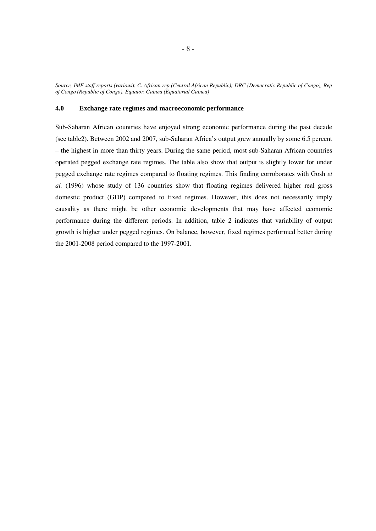*Source, IMF staff reports (various*); *C. African rep (Central African Republic); DRC (Democratic Republic of Congo), Rep of Congo (Republic of Congo), Equator. Guinea (Equatorial Guinea)* 

#### **4.0 Exchange rate regimes and macroeconomic performance**

Sub-Saharan African countries have enjoyed strong economic performance during the past decade (see table2). Between 2002 and 2007, sub-Saharan Africa's output grew annually by some 6.5 percent – the highest in more than thirty years. During the same period, most sub-Saharan African countries operated pegged exchange rate regimes. The table also show that output is slightly lower for under pegged exchange rate regimes compared to floating regimes. This finding corroborates with Gosh *et al.* (1996) whose study of 136 countries show that floating regimes delivered higher real gross domestic product (GDP) compared to fixed regimes. However, this does not necessarily imply causality as there might be other economic developments that may have affected economic performance during the different periods. In addition, table 2 indicates that variability of output growth is higher under pegged regimes. On balance, however, fixed regimes performed better during the 2001-2008 period compared to the 1997-2001.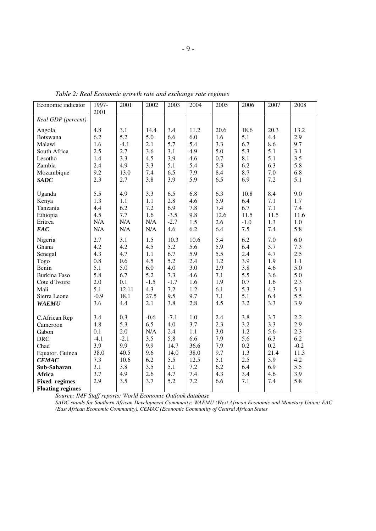*Table 2: Real Economic growth rate and exchange rate regimes* 

| Economic indicator      | 1997-  | 2001   | 2002   | 2003   | 2004 | 2005 | 2006   | 2007 | 2008   |
|-------------------------|--------|--------|--------|--------|------|------|--------|------|--------|
|                         | 2001   |        |        |        |      |      |        |      |        |
| Real GDP (percent)      |        |        |        |        |      |      |        |      |        |
| Angola                  | 4.8    | 3.1    | 14.4   | 3.4    | 11.2 | 20.6 | 18.6   | 20.3 | 13.2   |
| Botswana                | 6.2    | 5.2    | 5.0    | 6.6    | 6.0  | 1.6  | 5.1    | 4.4  | 2.9    |
| Malawi                  | 1.6    | $-4.1$ | 2.1    | 5.7    | 5.4  | 3.3  | 6.7    | 8.6  | 9.7    |
| South Africa            | 2.5    | 2.7    | 3.6    | 3.1    | 4.9  | 5.0  | 5.3    | 5.1  | 3.1    |
| Lesotho                 | 1.4    | 3.3    | 4.5    | 3.9    | 4.6  | 0.7  | 8.1    | 5.1  | 3.5    |
| Zambia                  | 2.4    | 4.9    | 3.3    | 5.1    | 5.4  | 5.3  | 6.2    | 6.3  | 5.8    |
| Mozambique              | 9.2    | 13.0   | 7.4    | 6.5    | 7.9  | 8.4  | 8.7    | 7.0  | 6.8    |
| <b>SADC</b>             | 2.3    | 2.7    | 3.8    | 3.9    | 5.9  | 6.5  | 6.9    | 7.2  | 5.1    |
| Uganda                  | 5.5    | 4.9    | 3.3    | 6.5    | 6.8  | 6.3  | 10.8   | 8.4  | 9.0    |
| Kenya                   | 1.3    | 1.1    | 1.1    | 2.8    | 4.6  | 5.9  | 6.4    | 7.1  | 1.7    |
| Tanzania                | 4.4    | 6.2    | 7.2    | 6.9    | 7.8  | 7.4  | 6.7    | 7.1  | 7.4    |
| Ethiopia                | 4.5    | 7.7    | 1.6    | $-3.5$ | 9.8  | 12.6 | 11.5   | 11.5 | 11.6   |
| Eritrea                 | N/A    | N/A    | N/A    | $-2.7$ | 1.5  | 2.6  | $-1.0$ | 1.3  | 1.0    |
| EAC                     | N/A    | N/A    | N/A    | 4.6    | 6.2  | 6.4  | 7.5    | 7.4  | 5.8    |
| Nigeria                 | 2.7    | 3.1    | 1.5    | 10.3   | 10.6 | 5.4  | 6.2    | 7.0  | 6.0    |
| Ghana                   | 4.2    | 4.2    | 4.5    | 5.2    | 5.6  | 5.9  | 6.4    | 5.7  | 7.3    |
| Senegal                 | 4.3    | 4.7    | 1.1    | 6.7    | 5.9  | 5.5  | 2.4    | 4.7  | 2.5    |
| Togo                    | 0.8    | 0.6    | 4.5    | 5.2    | 2.4  | 1.2  | 3.9    | 1.9  | 1.1    |
| Benin                   | 5.1    | 5.0    | 6.0    | 4.0    | 3.0  | 2.9  | 3.8    | 4.6  | 5.0    |
| <b>Burkina Faso</b>     | 5.8    | 6.7    | 5.2    | 7.3    | 4.6  | 7.1  | 5.5    | 3.6  | 5.0    |
| Cote d'Ivoire           | 2.0    | 0.1    | $-1.5$ | $-1.7$ | 1.6  | 1.9  | 0.7    | 1.6  | 2.3    |
| Mali                    | 5.1    | 12.11  | 4.3    | 7.2    | 1.2  | 6.1  | 5.3    | 4.3  | 5.1    |
| Sierra Leone            | $-0.9$ | 18.1   | 27.5   | 9.5    | 9.7  | 7.1  | 5.1    | 6.4  | 5.5    |
| <b>WAEMU</b>            | 3.6    | 4.4    | 2.1    | 3.8    | 2.8  | 4.5  | 3.2    | 3.3  | 3.9    |
| C.African Rep           | 3.4    | 0.3    | $-0.6$ | $-7.1$ | 1.0  | 2.4  | 3.8    | 3.7  | 2.2    |
| Cameroon                | 4.8    | 5.3    | 6.5    | 4.0    | 3.7  | 2.3  | 3.2    | 3.3  | 2.9    |
| Gabon                   | 0.1    | 2.0    | N/A    | 2.4    | 1.1  | 3.0  | 1.2    | 5.6  | 2.3    |
| <b>DRC</b>              | $-4.1$ | $-2.1$ | 3.5    | 5.8    | 6.6  | 7.9  | 5.6    | 6.3  | 6.2    |
| Chad                    | 3.9    | 9.9    | 9.9    | 14.7   | 36.6 | 7.9  | 0.2    | 0.2  | $-0.2$ |
| Equator. Guinea         | 38.0   | 40.5   | 9.6    | 14.0   | 38.0 | 9.7  | 1.3    | 21.4 | 11.3   |
| <b>CEMAC</b>            | 7.3    | 10.6   | 6.2    | 5.5    | 12.5 | 5.1  | 2.5    | 5.9  | 4.2    |
| Sub-Saharan             | 3.1    | 3.8    | 3.5    | 5.1    | 7.2  | 6.2  | 6.4    | 6.9  | 5.5    |
| Africa                  | 3.7    | 4.9    | 2.6    | 4.7    | 7.4  | 4.3  | 3.4    | 4.6  | 3.9    |
| <b>Fixed regimes</b>    | 2.9    | 3.5    | 3.7    | 5.2    | 7.2  | 6.6  | 7.1    | 7.4  | 5.8    |
| <b>Floating regimes</b> |        |        |        |        |      |      |        |      |        |

*Source: IMF Staff reports; World Economic Outlook database* 

*SADC stands for Southern African Development Community; WAEMU (West African Economic and Monetary Union; EAC (East African Economic Community), CEMAC (Economic Community of Central African States*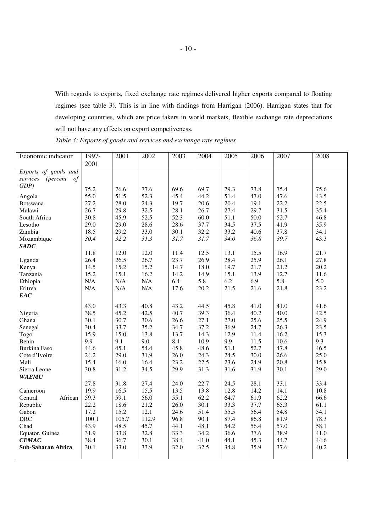With regards to exports, fixed exchange rate regimes delivered higher exports compared to floating regimes (see table 3). This is in line with findings from Harrigan (2006). Harrigan states that for developing countries, which are price takers in world markets, flexible exchange rate depreciations will not have any effects on export competiveness.

| Economic indicator                        | 1997-<br>2001 | 2001         | 2002         | 2003         | 2004         | 2005         | 2006         | 2007         | 2008         |
|-------------------------------------------|---------------|--------------|--------------|--------------|--------------|--------------|--------------|--------------|--------------|
| Exports of goods and                      |               |              |              |              |              |              |              |              |              |
| <i>(percent</i><br>services<br>$\sigma f$ |               |              |              |              |              |              |              |              |              |
| GDP                                       |               |              |              |              |              |              |              |              |              |
|                                           | 75.2          | 76.6         | 77.6<br>52.3 | 69.6         | 69.7         | 79.3<br>51.4 | 73.8         | 75.4         | 75.6         |
| Angola                                    | 55.0          | 51.5         |              | 45.4         | 44.2         |              | 47.0         | 47.6         | 43.5         |
| Botswana<br>Malawi                        | 27.2<br>26.7  | 28.0<br>29.8 | 24.3<br>32.5 | 19.7<br>28.1 | 20.6<br>26.7 | 20.4<br>27.4 | 19.1<br>29.7 | 22.2<br>31.5 | 22.5<br>35.4 |
|                                           |               |              |              |              |              |              |              |              |              |
| South Africa<br>Lesotho                   | 30.8<br>29.0  | 45.9<br>29.0 | 52.5<br>28.6 | 52.3<br>28.6 | 60.0<br>37.7 | 51.1<br>34.5 | 50.0<br>37.5 | 52.7<br>41.9 | 46.8<br>35.9 |
|                                           | 18.5          | 29.2         | 33.0         | 30.1         | 32.2         | 33.2         | 40.6         | 37.8         | 34.1         |
| Zambia                                    | 30.4          | 32.2         | 31.3         | 31.7         | 31.7         | 34.0         | 36.8         | 39.7         | 43.3         |
| Mozambique                                |               |              |              |              |              |              |              |              |              |
| <b>SADC</b>                               | 11.8          | 12.0         | 12.0         | 11.4         | 12.5         | 13.1         | 15.5         | 16.9         | 21.7         |
| Uganda                                    | 26.4          | 26.5         | 26.7         | 23.7         | 26.9         | 28.4         | 25.9         | 26.1         | 27.8         |
| Kenya                                     | 14.5          | 15.2         | 15.2         | 14.7         | 18.0         | 19.7         | 21.7         | 21.2         | 20.2         |
| Tanzania                                  | 15.2          | 15.1         | 16.2         | 14.2         | 14.9         | 15.1         | 13.9         | 12.7         | 11.6         |
| Ethiopia                                  | N/A           | N/A          | N/A          | 6.4          | 5.8          | 6.2          | 6.9          | 5.8          | 5.0          |
| Eritrea                                   | N/A           | N/A          | N/A          | 17.6         | 20.2         | 21.5         | 21.6         | 21.8         | 23.2         |
| EAC                                       |               |              |              |              |              |              |              |              |              |
|                                           |               |              |              |              |              |              |              |              |              |
|                                           | 43.0          | 43.3         | 40.8         | 43.2         | 44.5         | 45.8         | 41.0         | 41.0         | 41.6         |
| Nigeria                                   | 38.5          | 45.2         | 42.5         | 40.7         | 39.3         | 36.4         | 40.2         | 40.0         | 42.5         |
| Ghana                                     | 30.1          | 30.7         | 30.6         | 26.6         | 27.1         | 27.0         | 25.6         | 25.5         | 24.9         |
| Senegal                                   | 30.4          | 33.7         | 35.2         | 34.7         | 37.2         | 36.9         | 24.7         | 26.3         | 23.5         |
| Togo                                      | 15.9          | 15.0         | 13.8         | 13.7         | 14.3         | 12.9         | 11.4         | 16.2         | 15.3         |
| Benin                                     | 9.9           | 9.1          | 9.0          | 8.4          | 10.9         | 9.9          | 11.5         | 10.6         | 9.3          |
| Burkina Faso                              | 44.6          | 45.1         | 54.4         | 45.8         | 48.6         | 51.1         | 52.7         | 47.8         | 46.5         |
| Cote d'Ivoire                             | 24.2          | 29.0         | 31,9         | 26.0         | 24.3         | 24.5         | 30.0         | 26.6         | 25.0         |
| Mali                                      | 15.4          | 16.0         | 16.4         | 23.2         | 22.5         | 23.6         | 24.9         | 20.8         | 15.8         |
| Sierra Leone                              | 30.8          | 31.2         | 34.5         | 29.9         | 31.3         | 31.6         | 31.9         | 30.1         | 29.0         |
| <b>WAEMU</b>                              |               |              |              |              |              |              |              |              |              |
|                                           | 27.8          | 31.8         | 27.4         | 24.0         | 22.7         | 24.5         | 28.1         | 33.1         | 33.4         |
| Cameroon                                  | 19.9          | 16.5         | 15.5         | 13.5         | 13.8         | 12.8         | 14.2         | 14.1         | 10.8         |
| African<br>Central                        | 59.3          | 59.1         | 56.0         | 55.1         | 62.2         | 64.7         | 61.9         | 62.2         | 66.6         |
| Republic                                  | 22.2          | 18.6         | 21.2         | 26.0         | 30.1         | 33.3         | 37.7         | 65.3         | 61.1         |
| Gabon                                     | 17.2          | 15.2         | 12.1         | 24.6         | 51.4         | 55.5         | 56.4         | 54.8         | 54.1         |
| <b>DRC</b>                                | 100.1         | 105.7        | 112.9        | 96.8         | 90.1         | 87.4         | 86.8         | 81.9         | 78.3         |
| Chad                                      | 43.9          | 48.5         | 45.7         | 44.1         | 48.1         | 54.2         | 56.4         | 57.0         | 58.1         |
| Equator. Guinea                           | 31.9          | 33.8         | 32.8         | 33.3         | 34.2         | 36.6         | 37.6         | 38.9         | 41.0         |
| CEMAC                                     | 38.4          | 36.7         | 30.1         | 38.4         | 41.0         | 44.1         | 45.3         | 44.7         | 44.6         |
| <b>Sub-Saharan Africa</b>                 | 30.1          | 33.0         | 33.9         | 32.0         | 32.5         | 34.8         | 35.9         | 37.6         | 40.2         |
|                                           |               |              |              |              |              |              |              |              |              |

*Table 3: Exports of goods and services and exchange rate regimes*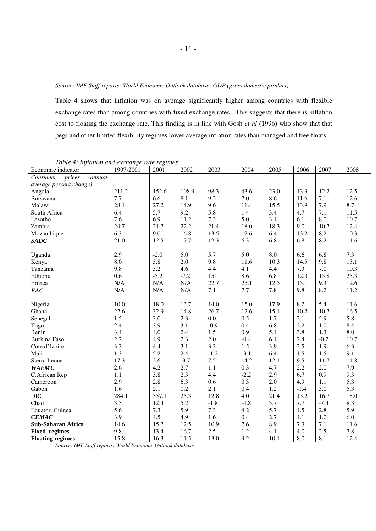Table 4 shows that inflation was on average significantly higher among countries with flexible exchange rates than among countries with fixed exchange rates. This suggests that there is inflation cost to floating the exchange rate. This finding is in line with Gosh *et al* (1996) who show that that pegs and other limited flexibility regimes lower average inflation rates than managed and free floats.

| Economic indicator                     | $\ldots$ <i>measure the chemical</i> $\ldots$<br>1997-2001 | 2001   | 2002   | 2003    | 2004   | 2005 | 2006    | 2007      | 2008 |
|----------------------------------------|------------------------------------------------------------|--------|--------|---------|--------|------|---------|-----------|------|
| prices<br>Consumer<br><i>(annual</i> ) |                                                            |        |        |         |        |      |         |           |      |
| average percent change)                |                                                            |        |        |         |        |      |         |           |      |
| Angola                                 | 211.2                                                      | 152.6  | 108.9  | 98.3    | 43.6   | 23.0 | 13.3    | 12.2      | 12.5 |
| Botswana                               | 7.7                                                        | 6.6    | 8.1    | 9.2     | 7.0    | 8.6  | 11.6    | 7.1       | 12.6 |
| Malawi                                 | 28.1                                                       | 27.2   | 14.9   | 9.6     | 11.4   | 15.5 | 13.9    | 7.9       | 8.7  |
| South Africa                           | 6.4                                                        | 5.7    | 9.2    | 5.8     | 1.4    | 3.4  | 4.7     | 7.1       | 11.5 |
| Lesotho                                | 7.6                                                        | 6.9    | 11.2   | $7.3\,$ | 5.0    | 3.4  | 6.1     | $\rm 8.0$ | 10.7 |
| Zambia                                 | 24.7                                                       | 21.7   | 22.2   | 21.4    | 18.0   | 18.3 | 9.0     | 10.7      | 12.4 |
| Mozambique                             | 6.3                                                        | 9.0    | 16.8   | 13.5    | 12.6   | 6.4  | 13.2    | 8.2       | 10.3 |
| <b>SADC</b>                            | 21.0                                                       | 12.5   | 17.7   | 12.3    | 6.3    | 6.8  | 6.8     | 8.2       | 11.6 |
|                                        |                                                            |        |        |         |        |      |         |           |      |
| Uganda                                 | 2.9                                                        | $-2.0$ | 5.0    | 5.7     | 5.0    | 8.0  | 6.6     | 6.8       | 7.3  |
| Kenya                                  | 8.0                                                        | 5.8    | 2.0    | 9.8     | 11.6   | 10.3 | 14.5    | 9.8       | 13.1 |
| Tanzania                               | 9.8                                                        | 5.2    | 4.6    | 4.4     | 4.1    | 4.4  | 7.3     | 7.0       | 10.3 |
| Ethiopia                               | 0.6                                                        | $-5.2$ | $-7.2$ | 151     | 8.6    | 6.8  | 12.3    | 15.8      | 25.3 |
| Eritrea                                | N/A                                                        | N/A    | N/A    | 22.7    | 25.1   | 12.5 | 15.1    | 9.3       | 12.6 |
| EAC                                    | N/A                                                        | N/A    | N/A    | $7.1\,$ | 7.7    | 7.8  | 9.8     | 8.2       | 11.2 |
|                                        |                                                            |        |        |         |        |      |         |           |      |
| Nigeria                                | 10.0                                                       | 18.0   | 13.7   | 14.0    | 15.0   | 17.9 | 8.2     | 5.4       | 11.6 |
| Ghana                                  | 22.6                                                       | 32.9   | 14.8   | 26.7    | 12.6   | 15.1 | 10.2    | 10.7      | 16.5 |
| Senegal                                | 1.5                                                        | 3.0    | 2.3    | 0.0     | 0.5    | 1.7  | 2.1     | 5.9       | 5.8  |
| Togo                                   | 2.4                                                        | 3.9    | 3.1    | $-0.9$  | 0.4    | 6.8  | 2.2     | 1.0       | 8.4  |
| Benin                                  | 3.4                                                        | 4.0    | 2.4    | 1.5     | 0.9    | 5.4  | 3.8     | 1.3       | 8.0  |
| <b>Burkina Faso</b>                    | 2.2                                                        | 4.9    | 2.3    | 2.0     | $-0.4$ | 6.4  | 2.4     | $-0.2$    | 10.7 |
| Cote d'Ivoire                          | 3.3                                                        | 4.4    | 3.1    | 3.3     | 1.5    | 3.9  | 2.5     | 1.9       | 6.3  |
| Mali                                   | 1.3                                                        | 5.2    | 2.4    | $-1.2$  | $-3.1$ | 6.4  | 1.5     | 1.5       | 9.1  |
| Sierra Leone                           | 17.3                                                       | 2.6    | $-3.7$ | 7.5     | 14.2   | 12.1 | 9.5     | 11.7      | 14.8 |
| <b>WAEMU</b>                           | 2.6                                                        | 4.2    | 2.7    | 1.1     | 0.3    | 4.7  | 2.2     | 2.0       | 7.9  |
| C.African Rep                          | 1.1                                                        | 3.8    | 2.3    | 4.4     | $-2.2$ | 2.9  | 6.7     | 0.9       | 9.3  |
| Cameroon                               | 2.9                                                        | 2.8    | 6.3    | 0.6     | 0.3    | 2.0  | 4.9     | 1.1       | 5.3  |
| Gabon                                  | 1.6                                                        | 2.1    | 0.2    | 2.1     | 0.4    | 1.2  | $-1.4$  | 5.0       | 5.3  |
| <b>DRC</b>                             | 284.1                                                      | 357.1  | 25.3   | 12.8    | 4.0    | 21.4 | 13.2    | 16.7      | 18.0 |
| Chad                                   | 3.5                                                        | 12.4   | 5.2    | $-1.8$  | $-4.8$ | 3.7  | $7.7\,$ | $-7.4$    | 8.3  |
| Equator. Guinea                        | 5.6                                                        | 7.3    | 5.9    | 7.3     | 4.2    | 5.7  | 4.5     | 2.8       | 5.9  |
| <b>CEMAC</b>                           | 3.9                                                        | 4.5    | 4.9    | 1.6     | 0.4    | 2.7  | 4.1     | 1.0       | 6.0  |
| Sub-Saharan Africa                     | 14.6                                                       | 15.7   | 12.5   | 10.9    | 7.6    | 8.9  | 7.3     | $7.1\,$   | 11.6 |
| <b>Fixed regimes</b>                   | 9.8                                                        | 13.4   | 16.7   | 2.5     | 1.2    | 4.1  | 4.0     | 2.5       | 7.8  |
| <b>Floating regimes</b>                | 15.8                                                       | 16.3   | 11.5   | 13.0    | 9.2    | 10.1 | 8.0     | 8.1       | 12.4 |

*Table 4: Inflation and exchange rate regimes* 

*Source: IMF Staff reports; World Economic Outlook database*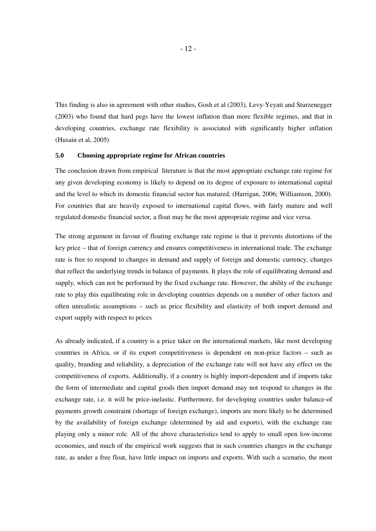This finding is also in agreement with other studies, Gosh et al (2003), Levy-Yeyati and Sturzenegger (2003) who found that hard pegs have the lowest inflation than more flexible regimes, and that in developing countries, exchange rate flexibility is associated with significantly higher inflation (Husain et al, 2005)

## **5.0 Choosing appropriate regime for African countries**

The conclusion drawn from empirical literature is that the most appropriate exchange rate regime for any given developing economy is likely to depend on its degree of exposure to international capital and the level to which its domestic financial sector has matured, (Harrigan, 2006; Williamson, 2000). For countries that are heavily exposed to international capital flows, with fairly mature and well regulated domestic financial sector, a float may be the most appropriate regime and vice versa.

The strong argument in favour of floating exchange rate regime is that it prevents distortions of the key price – that of foreign currency and ensures competitiveness in international trade. The exchange rate is free to respond to changes in demand and supply of foreign and domestic currency, changes that reflect the underlying trends in balance of payments. It plays the role of equilibrating demand and supply, which can not be performed by the fixed exchange rate. However, the ability of the exchange rate to play this equilibrating role in developing countries depends on a number of other factors and often unrealistic assumptions – such as price flexibility and elasticity of both import demand and export supply with respect to prices

As already indicated, if a country is a price taker on the international markets, like most developing countries in Africa, or if its export competitiveness is dependent on non-price factors – such as quality, branding and reliability, a depreciation of the exchange rate will not have any effect on the competitiveness of exports. Additionally, if a country is highly import-dependent and if imports take the form of intermediate and capital goods then import demand may not respond to changes in the exchange rate, i.e. it will be price-inelastic. Furthermore, for developing countries under balance-of payments growth constraint (shortage of foreign exchange), imports are more likely to be determined by the availability of foreign exchange (determined by aid and exports), with the exchange rate playing only a minor role. All of the above characteristics tend to apply to small open low-income economies, and much of the empirical work suggests that in such countries changes in the exchange rate, as under a free float, have little impact on imports and exports. With such a scenario, the most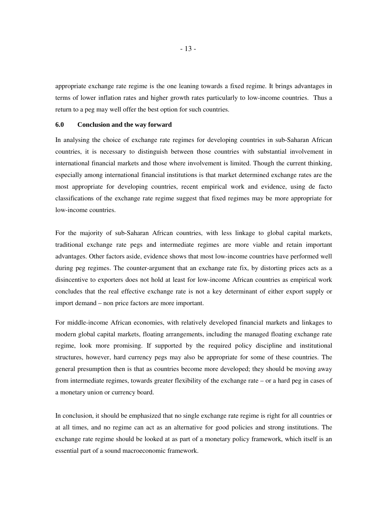appropriate exchange rate regime is the one leaning towards a fixed regime. It brings advantages in terms of lower inflation rates and higher growth rates particularly to low-income countries. Thus a return to a peg may well offer the best option for such countries.

#### **6.0 Conclusion and the way forward**

In analysing the choice of exchange rate regimes for developing countries in sub-Saharan African countries, it is necessary to distinguish between those countries with substantial involvement in international financial markets and those where involvement is limited. Though the current thinking, especially among international financial institutions is that market determined exchange rates are the most appropriate for developing countries, recent empirical work and evidence, using de facto classifications of the exchange rate regime suggest that fixed regimes may be more appropriate for low-income countries.

For the majority of sub-Saharan African countries, with less linkage to global capital markets, traditional exchange rate pegs and intermediate regimes are more viable and retain important advantages. Other factors aside, evidence shows that most low-income countries have performed well during peg regimes. The counter-argument that an exchange rate fix, by distorting prices acts as a disincentive to exporters does not hold at least for low-income African countries as empirical work concludes that the real effective exchange rate is not a key determinant of either export supply or import demand – non price factors are more important.

For middle-income African economies, with relatively developed financial markets and linkages to modern global capital markets, floating arrangements, including the managed floating exchange rate regime, look more promising. If supported by the required policy discipline and institutional structures, however, hard currency pegs may also be appropriate for some of these countries. The general presumption then is that as countries become more developed; they should be moving away from intermediate regimes, towards greater flexibility of the exchange rate – or a hard peg in cases of a monetary union or currency board.

In conclusion, it should be emphasized that no single exchange rate regime is right for all countries or at all times, and no regime can act as an alternative for good policies and strong institutions. The exchange rate regime should be looked at as part of a monetary policy framework, which itself is an essential part of a sound macroeconomic framework.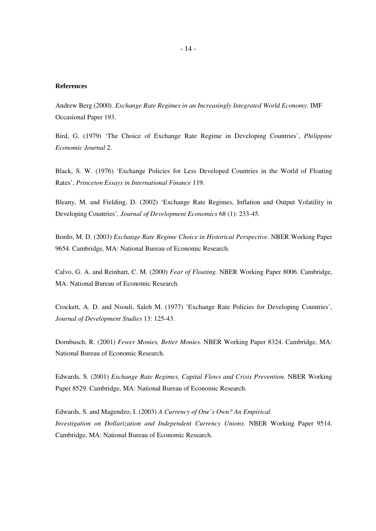#### **References**

Andrew Berg (2000). *Exchange Rate Regimes in an Increasingly Integrated World Economy*. IMF Occasional Paper 193.

Bird, G. (1979) 'The Choice of Exchange Rate Regime in Developing Countries', *Philippine Economic Journal* 2.

Black, S. W. (1976) 'Exchange Policies for Less Developed Countries in the World of Floating Rates', *Princeton Essays in International Finance* 119.

Bleany, M. and Fielding, D. (2002) 'Exchange Rate Regimes, Inflation and Output Volatility in Developing Countries'*, Journal of Development Economics* 68 (1): 233-45.

Bordo, M. D. (2003) *Exchange Rate Regime Choice in Historical Perspective*. NBER Working Paper 9654. Cambridge, MA: National Bureau of Economic Research.

Calvo, G. A. and Reinhart, C. M. (2000) *Fear of Floating.* NBER Working Paper 8006. Cambridge, MA: National Bureau of Economic Research.

Crockett, A. D. and Nsouli, Saleh M. (1977) 'Exchange Rate Policies for Developing Countries', *Journal of Development Studies* 13: 125-43.

Dornbusch, R. (2001) *Fewer Monies, Better Monies.* NBER Working Paper 8324. Cambridge, MA: National Bureau of Economic Research.

Edwards, S. (2001) *Exchange Rate Regimes, Capital Flows and Crisis Prevention*. NBER Working Paper 8529. Cambridge, MA: National Bureau of Economic Research.

Edwards, S. and Magendzo, I. (2003) *A Currency of One's Own? An Empirical Investigation on Dollarization and Independent Currency Unions*. NBER Working Paper 9514. Cambridge, MA: National Bureau of Economic Research.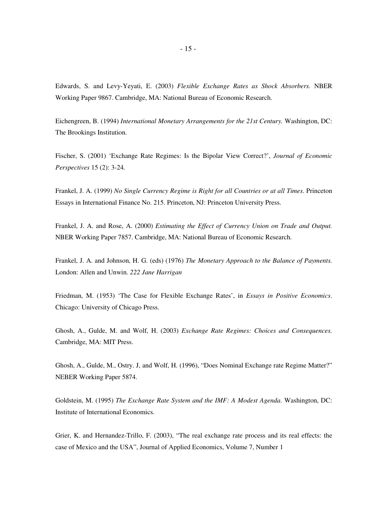Edwards, S. and Levy-Yeyati, E. (2003) *Flexible Exchange Rates as Shock Absorbers.* NBER Working Paper 9867. Cambridge, MA: National Bureau of Economic Research.

Eichengreen, B. (1994) *International Monetary Arrangements for the 21st Century.* Washington, DC: The Brookings Institution.

Fischer, S. (2001) 'Exchange Rate Regimes: Is the Bipolar View Correct?', *Journal of Economic Perspectives* 15 (2): 3-24.

Frankel, J. A. (1999) *No Single Currency Regime is Right for all Countries or at all Times*. Princeton Essays in International Finance No. 215. Princeton, NJ: Princeton University Press.

Frankel, J. A. and Rose, A. (2000) *Estimating the Effect of Currency Union on Trade and Output.*  NBER Working Paper 7857. Cambridge, MA: National Bureau of Economic Research.

Frankel, J. A. and Johnson, H. G. (eds) (1976) *The Monetary Approach to the Balance of Payments.*  London: Allen and Unwin. *222 Jane Harrigan* 

Friedman, M. (1953) 'The Case for Flexible Exchange Rates', in *Essays in Positive Economics*. Chicago: University of Chicago Press.

Ghosh, A., Gulde, M. and Wolf, H. (2003) *Exchange Rate Regimes: Choices and Consequences.*  Cambridge, MA: MIT Press.

Ghosh, A., Gulde, M., Ostry. J, and Wolf, H. (1996), "Does Nominal Exchange rate Regime Matter?" NEBER Working Paper 5874.

Goldstein, M. (1995) *The Exchange Rate System and the IMF: A Modest Agenda.* Washington, DC: Institute of International Economics.

Grier, K. and Hernandez-Trillo, F. (2003), "The real exchange rate process and its real effects: the case of Mexico and the USA", Journal of Applied Economics, Volume 7, Number 1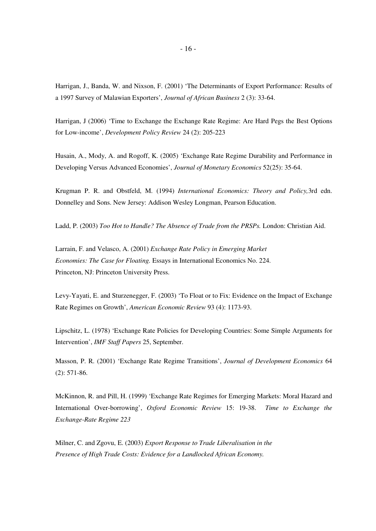Harrigan, J., Banda, W. and Nixson, F. (2001) 'The Determinants of Export Performance: Results of a 1997 Survey of Malawian Exporters', *Journal of African Business* 2 (3): 33-64.

Harrigan, J (2006) 'Time to Exchange the Exchange Rate Regime: Are Hard Pegs the Best Options for Low-income', *Development Policy Review* 24 (2): 205-223

Husain, A., Mody, A. and Rogoff, K. (2005) 'Exchange Rate Regime Durability and Performance in Developing Versus Advanced Economies', *Journal of Monetary Economics* 52(25): 35-64.

Krugman P. R. and Obstfeld, M. (1994) *International Economics: Theory and Policy,*3rd edn. Donnelley and Sons. New Jersey: Addison Wesley Longman, Pearson Education.

Ladd, P. (2003) *Too Hot to Handle? The Absence of Trade from the PRSPs.* London: Christian Aid.

Larrain, F. and Velasco, A. (2001) *Exchange Rate Policy in Emerging Market Economies: The Case for Floating.* Essays in International Economics No. 224. Princeton, NJ: Princeton University Press.

Levy-Yayati, E. and Sturzenegger, F. (2003) 'To Float or to Fix: Evidence on the Impact of Exchange Rate Regimes on Growth', *American Economic Review* 93 (4): 1173-93.

Lipschitz, L. (1978) 'Exchange Rate Policies for Developing Countries: Some Simple Arguments for Intervention', *IMF Staff Papers* 25, September.

Masson, P. R. (2001) 'Exchange Rate Regime Transitions', *Journal of Development Economics* 64 (2): 571-86.

McKinnon, R. and Pill, H. (1999) 'Exchange Rate Regimes for Emerging Markets: Moral Hazard and International Over-borrowing', *Oxford Economic Review* 15: 19-38. *Time to Exchange the Exchange-Rate Regime 223* 

Milner, C. and Zgovu, E. (2003) *Export Response to Trade Liberalisation in the Presence of High Trade Costs: Evidence for a Landlocked African Economy.*